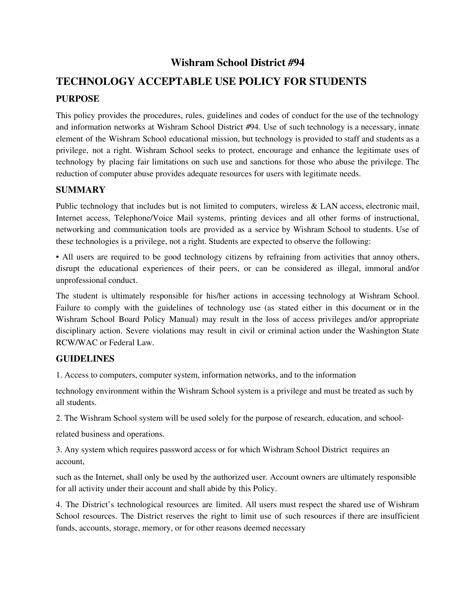# **Wishram School District #94**

# **TECHNOLOGY ACCEPTABLE USE POLICY FOR STUDENTS PURPOSE**

This policy provides the procedures, rules, guidelines and codes of conduct for the use of the technology and information networks at Wishram School District #94. Use of such technology is a necessary, innate element of the Wishram School educational mission, but technology is provided to staff and students as a privilege, not a right. Wishram School seeks to protect, encourage and enhance the legitimate uses of technology by placing fair limitations on such use and sanctions for those who abuse the privilege. The reduction of computer abuse provides adequate resources for users with legitimate needs.

## **SUMMARY**

Public technology that includes but is not limited to computers, wireless & LAN access, electronic mail, Internet access, Telephone/Voice Mail systems, printing devices and all other forms of instructional, networking and communication tools are provided as a service by Wishram School to students. Use of these technologies is a privilege, not a right. Students are expected to observe the following:

• All users are required to be good technology citizens by refraining from activities that annoy others, disrupt the educational experiences of their peers, or can be considered as illegal, immoral and/or unprofessional conduct.

The student is ultimately responsible for his/her actions in accessing technology at Wishram School. Failure to comply with the guidelines of technology use (as stated either in this document or in the Wishram School Board Policy Manual) may result in the loss of access privileges and/or appropriate disciplinary action. Severe violations may result in civil or criminal action under the Washington State RCW/WAC or Federal Law.

## **GUIDELINES**

1. Access to computers, computer system, information networks, and to the information

technology environment within the Wishram School system is a privilege and must be treated as such by all students.

2. The Wishram School system will be used solely for the purpose of research, education, and school-

related business and operations.

3. Any system which requires password access or for which Wishram School District requires an account,

such as the Internet, shall only be used by the authorized user. Account owners are ultimately responsible for all activity under their account and shall abide by this Policy.

4. The District's technological resources are limited. All users must respect the shared use of Wishram School resources. The District reserves the right to limit use of such resources if there are insufficient funds, accounts, storage, memory, or for other reasons deemed necessary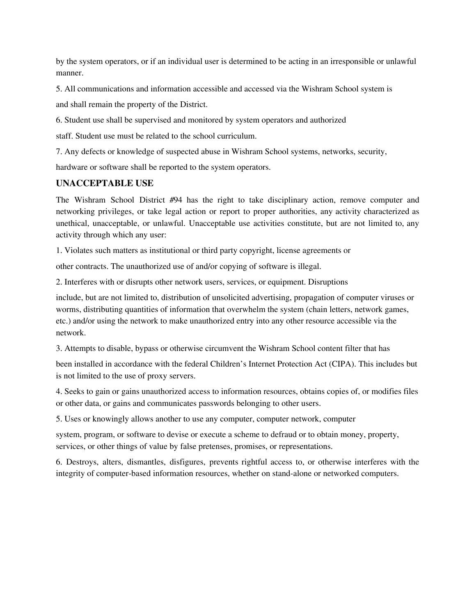by the system operators, or if an individual user is determined to be acting in an irresponsible or unlawful manner.

5. All communications and information accessible and accessed via the Wishram School system is

and shall remain the property of the District.

6. Student use shall be supervised and monitored by system operators and authorized

staff. Student use must be related to the school curriculum.

7. Any defects or knowledge of suspected abuse in Wishram School systems, networks, security,

hardware or software shall be reported to the system operators.

## **UNACCEPTABLE USE**

The Wishram School District #94 has the right to take disciplinary action, remove computer and networking privileges, or take legal action or report to proper authorities, any activity characterized as unethical, unacceptable, or unlawful. Unacceptable use activities constitute, but are not limited to, any activity through which any user:

1. Violates such matters as institutional or third party copyright, license agreements or

other contracts. The unauthorized use of and/or copying of software is illegal.

2. Interferes with or disrupts other network users, services, or equipment. Disruptions

include, but are not limited to, distribution of unsolicited advertising, propagation of computer viruses or worms, distributing quantities of information that overwhelm the system (chain letters, network games, etc.) and/or using the network to make unauthorized entry into any other resource accessible via the network.

3. Attempts to disable, bypass or otherwise circumvent the Wishram School content filter that has

been installed in accordance with the federal Children's Internet Protection Act (CIPA). This includes but is not limited to the use of proxy servers.

4. Seeks to gain or gains unauthorized access to information resources, obtains copies of, or modifies files or other data, or gains and communicates passwords belonging to other users.

5. Uses or knowingly allows another to use any computer, computer network, computer

system, program, or software to devise or execute a scheme to defraud or to obtain money, property, services, or other things of value by false pretenses, promises, or representations.

6. Destroys, alters, dismantles, disfigures, prevents rightful access to, or otherwise interferes with the integrity of computer-based information resources, whether on stand-alone or networked computers.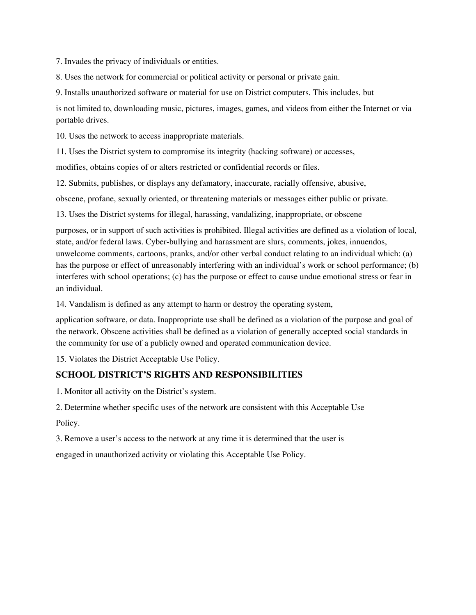7. Invades the privacy of individuals or entities.

8. Uses the network for commercial or political activity or personal or private gain.

9. Installs unauthorized software or material for use on District computers. This includes, but

is not limited to, downloading music, pictures, images, games, and videos from either the Internet or via portable drives.

10. Uses the network to access inappropriate materials.

11. Uses the District system to compromise its integrity (hacking software) or accesses,

modifies, obtains copies of or alters restricted or confidential records or files.

12. Submits, publishes, or displays any defamatory, inaccurate, racially offensive, abusive,

obscene, profane, sexually oriented, or threatening materials or messages either public or private.

13. Uses the District systems for illegal, harassing, vandalizing, inappropriate, or obscene

purposes, or in support of such activities is prohibited. Illegal activities are defined as a violation of local, state, and/or federal laws. Cyber-bullying and harassment are slurs, comments, jokes, innuendos, unwelcome comments, cartoons, pranks, and/or other verbal conduct relating to an individual which: (a) has the purpose or effect of unreasonably interfering with an individual's work or school performance; (b) interferes with school operations; (c) has the purpose or effect to cause undue emotional stress or fear in an individual.

14. Vandalism is defined as any attempt to harm or destroy the operating system,

application software, or data. Inappropriate use shall be defined as a violation of the purpose and goal of the network. Obscene activities shall be defined as a violation of generally accepted social standards in the community for use of a publicly owned and operated communication device.

15. Violates the District Acceptable Use Policy.

## **SCHOOL DISTRICT'S RIGHTS AND RESPONSIBILITIES**

1. Monitor all activity on the District's system.

2. Determine whether specific uses of the network are consistent with this Acceptable Use

Policy.

3. Remove a user's access to the network at any time it is determined that the user is

engaged in unauthorized activity or violating this Acceptable Use Policy.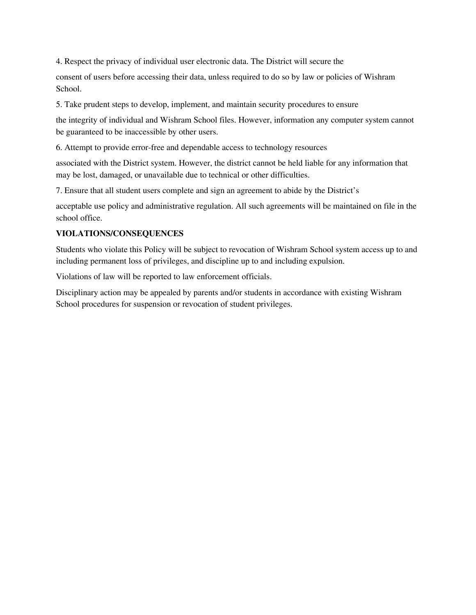4. Respect the privacy of individual user electronic data. The District will secure the

consent of users before accessing their data, unless required to do so by law or policies of Wishram School.

5. Take prudent steps to develop, implement, and maintain security procedures to ensure

the integrity of individual and Wishram School files. However, information any computer system cannot be guaranteed to be inaccessible by other users.

6. Attempt to provide error-free and dependable access to technology resources

associated with the District system. However, the district cannot be held liable for any information that may be lost, damaged, or unavailable due to technical or other difficulties.

7. Ensure that all student users complete and sign an agreement to abide by the District's

acceptable use policy and administrative regulation. All such agreements will be maintained on file in the school office.

#### **VIOLATIONS/CONSEQUENCES**

Students who violate this Policy will be subject to revocation of Wishram School system access up to and including permanent loss of privileges, and discipline up to and including expulsion.

Violations of law will be reported to law enforcement officials.

Disciplinary action may be appealed by parents and/or students in accordance with existing Wishram School procedures for suspension or revocation of student privileges.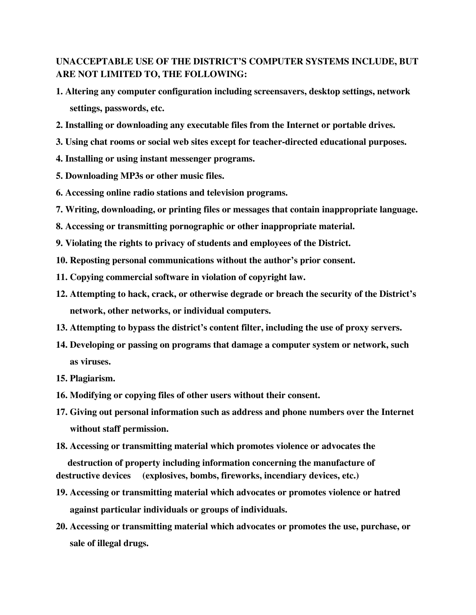# **UNACCEPTABLE USE OF THE DISTRICT'S COMPUTER SYSTEMS INCLUDE, BUT ARE NOT LIMITED TO, THE FOLLOWING:**

- **1. Altering any computer configuration including screensavers, desktop settings, network settings, passwords, etc.**
- **2. Installing or downloading any executable files from the Internet or portable drives.**
- **3. Using chat rooms or social web sites except for teacher-directed educational purposes.**
- **4. Installing or using instant messenger programs.**
- **5. Downloading MP3s or other music files.**
- **6. Accessing online radio stations and television programs.**
- **7. Writing, downloading, or printing files or messages that contain inappropriate language.**
- **8. Accessing or transmitting pornographic or other inappropriate material.**
- **9. Violating the rights to privacy of students and employees of the District.**
- **10. Reposting personal communications without the author's prior consent.**
- **11. Copying commercial software in violation of copyright law.**
- **12. Attempting to hack, crack, or otherwise degrade or breach the security of the District's network, other networks, or individual computers.**
- **13. Attempting to bypass the district's content filter, including the use of proxy servers.**
- **14. Developing or passing on programs that damage a computer system or network, such as viruses.**
- **15. Plagiarism.**
- **16. Modifying or copying files of other users without their consent.**
- **17. Giving out personal information such as address and phone numbers over the Internet without staff permission.**
- **18. Accessing or transmitting material which promotes violence or advocates the**

**destruction of property including information concerning the manufacture of destructive devices (explosives, bombs, fireworks, incendiary devices, etc.)**

- **19. Accessing or transmitting material which advocates or promotes violence or hatred against particular individuals or groups of individuals.**
- **20. Accessing or transmitting material which advocates or promotes the use, purchase, or sale of illegal drugs.**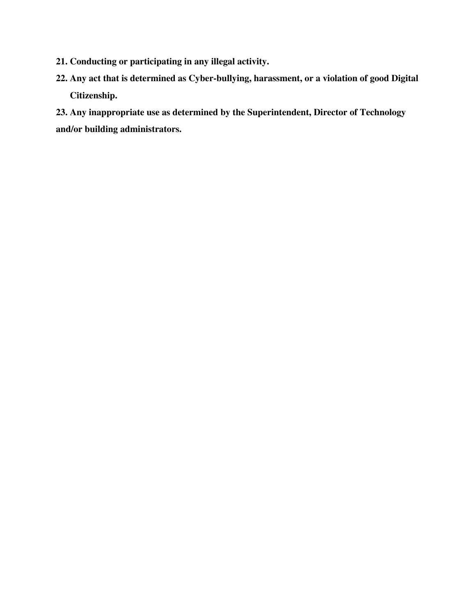- **21. Conducting or participating in any illegal activity.**
- **22. Any act that is determined as Cyber-bullying, harassment, or a violation of good Digital Citizenship.**

**23. Any inappropriate use as determined by the Superintendent, Director of Technology and/or building administrators.**